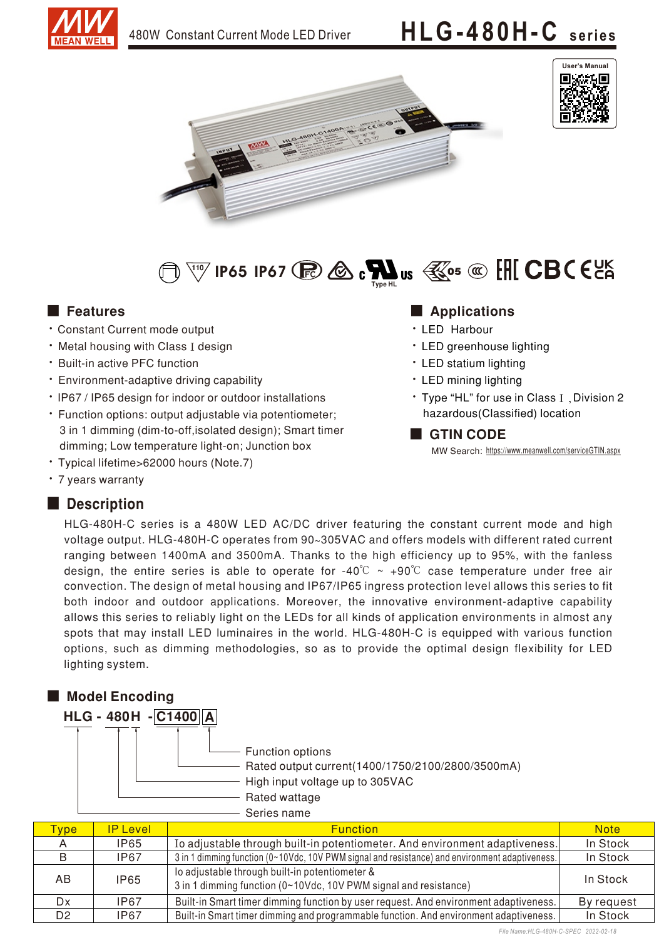

# 480W Constant Current Mode LED Driver **HLG-480H-C** series







- **Constant Current mode output**
- Metal housing with Class I design
- Built-in active PFC function
- Environment-adaptive driving capability
- IP67 / IP65 design for indoor or outdoor installations
- Function options: output adjustable via potentiometer; 3 in 1 dimming (dim-to-off, isolated design); Smart timer dimming; Low temperature light-on; Junction box
- · Typical lifetime>62000 hours (Note.7)
- 7 years warranty

### Description

#### ■ Features ■ Particular and Particular and Particular and Particular and Particular and Particular and Particular and Particular and Particular and Particular and Particular and Particular and Particular and Particular an

- LED Harbour
- LED greenhouse lighting
- LED statium lighting
- LED mining lighting
- Type "HL" for use in Class I, Division 2 hazardous(Classified) location

#### ■ GTIN CODE

MW Search: https://www.meanwell.com/serviceGTIN.aspx

HLG-480H-C series is a 480W LED AC/DC driver featuring the constant current mode and high voltage output. HLG-480H-C operates from 90~305VAC and offers models with different rated current ranging between 1400mA and 3500mA. Thanks to the high efficiency up to 95%, with the fanless design, the entire series is able to operate for -40°C  $\sim$  +90°C case temperature under free air convection. The design of metal housing and IP67/IP65 ingress protection level allows this series to fit both indoor and outdoor applications. Moreover, the innovative environment-adaptive capability allows this series to reliably light on the LEDs for all kinds of application environments in almost any spots that may install LED luminaires in the world. HLG-480H-C is equipped with various function options, such as dimming methodologies, so as to provide the optimal design flexibility for LED lighting system.

## ■ Model Encoding HLG-480H-C1400A - Rated output current(1400/1750/2100/2800/3500mA) Rated wattage High input voltage up to 305VAC Series name - Function options

| <b>vpe</b>     | <b>IP Level</b> | <b>Function</b>                                                                                                    | <b>Note</b> |
|----------------|-----------------|--------------------------------------------------------------------------------------------------------------------|-------------|
|                | IP65            | Io adjustable through built-in potentiometer. And environment adaptiveness.                                        | In Stock    |
| В              | IP67            | 3 in 1 dimming function (0~10Vdc, 10V PWM signal and resistance) and environment adaptiveness.                     | In Stock    |
| AB             | <b>IP65</b>     | lo adjustable through built-in potentiometer &<br>3 in 1 dimming function (0~10Vdc, 10V PWM signal and resistance) | In Stock    |
| Dx             | IP67            | Built-in Smart timer dimming function by user request. And environment adaptiveness.                               | By request  |
| D <sub>2</sub> | IP67            | Built-in Smart timer dimming and programmable function. And environment adaptiveness.                              | In Stock    |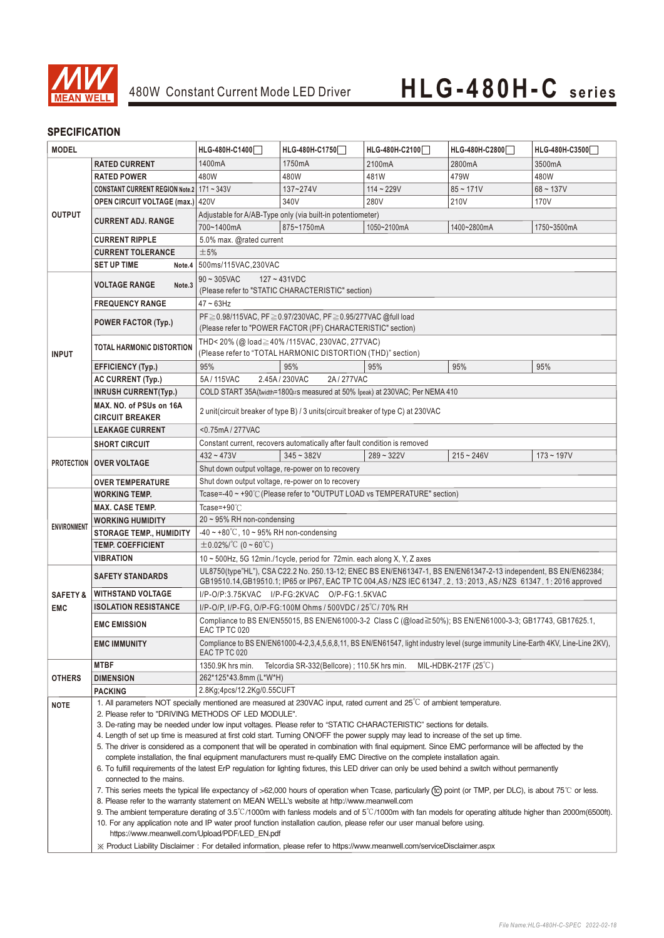![](_page_1_Picture_0.jpeg)

#### **SPECIFICATION**

| <b>MODEL</b>                                                                                                                                                              |                                                                                                                                                                                                                                                                                                                                                                                                                                                                              | HLG-480H-C1400                                                                                                                                      | HLG-480H-C1750                                                                   | HLG-480H-C2100                                                              | HLG-480H-C2800 | HLG-480H-C3500 |  |
|---------------------------------------------------------------------------------------------------------------------------------------------------------------------------|------------------------------------------------------------------------------------------------------------------------------------------------------------------------------------------------------------------------------------------------------------------------------------------------------------------------------------------------------------------------------------------------------------------------------------------------------------------------------|-----------------------------------------------------------------------------------------------------------------------------------------------------|----------------------------------------------------------------------------------|-----------------------------------------------------------------------------|----------------|----------------|--|
|                                                                                                                                                                           | <b>RATED CURRENT</b>                                                                                                                                                                                                                                                                                                                                                                                                                                                         | 1400mA                                                                                                                                              | 1750mA                                                                           | 2100mA                                                                      | 2800mA         | 3500mA         |  |
|                                                                                                                                                                           | <b>RATED POWER</b>                                                                                                                                                                                                                                                                                                                                                                                                                                                           | 480W                                                                                                                                                | 480W                                                                             | 481W                                                                        | 479W           | 480W           |  |
| <b>OUTPUT</b>                                                                                                                                                             | CONSTANT CURRENT REGION Note.2   171 ~ 343V                                                                                                                                                                                                                                                                                                                                                                                                                                  |                                                                                                                                                     | 137~274V                                                                         | $114 - 229V$                                                                | $85 - 171V$    | $68 - 137V$    |  |
|                                                                                                                                                                           | <b>OPEN CIRCUIT VOLTAGE (max.) 420V</b>                                                                                                                                                                                                                                                                                                                                                                                                                                      |                                                                                                                                                     | 340V                                                                             | 280V                                                                        | 210V           | 170V           |  |
|                                                                                                                                                                           |                                                                                                                                                                                                                                                                                                                                                                                                                                                                              |                                                                                                                                                     | Adjustable for A/AB-Type only (via built-in potentiometer)                       |                                                                             |                |                |  |
|                                                                                                                                                                           | <b>CURRENT ADJ. RANGE</b>                                                                                                                                                                                                                                                                                                                                                                                                                                                    | 700~1400mA                                                                                                                                          | 875~1750mA                                                                       | 1050~2100mA                                                                 | 1400~2800mA    | 1750~3500mA    |  |
|                                                                                                                                                                           | <b>CURRENT RIPPLE</b>                                                                                                                                                                                                                                                                                                                                                                                                                                                        | 5.0% max. @rated current                                                                                                                            |                                                                                  |                                                                             |                |                |  |
|                                                                                                                                                                           | <b>CURRENT TOLERANCE</b>                                                                                                                                                                                                                                                                                                                                                                                                                                                     | ±5%                                                                                                                                                 |                                                                                  |                                                                             |                |                |  |
|                                                                                                                                                                           | <b>SET UP TIME</b>                                                                                                                                                                                                                                                                                                                                                                                                                                                           | Note.4 500ms/115VAC.230VAC                                                                                                                          |                                                                                  |                                                                             |                |                |  |
|                                                                                                                                                                           |                                                                                                                                                                                                                                                                                                                                                                                                                                                                              | $90 \sim 305$ VAC                                                                                                                                   |                                                                                  |                                                                             |                |                |  |
|                                                                                                                                                                           | <b>VOLTAGE RANGE</b><br>Note <sub>.3</sub>                                                                                                                                                                                                                                                                                                                                                                                                                                   | $127 - 431VDC$<br>(Please refer to "STATIC CHARACTERISTIC" section)                                                                                 |                                                                                  |                                                                             |                |                |  |
|                                                                                                                                                                           | <b>FREQUENCY RANGE</b>                                                                                                                                                                                                                                                                                                                                                                                                                                                       | $47 \sim 63$ Hz                                                                                                                                     |                                                                                  |                                                                             |                |                |  |
|                                                                                                                                                                           |                                                                                                                                                                                                                                                                                                                                                                                                                                                                              | PF ≥ 0.98/115VAC, PF ≥ 0.97/230VAC, PF ≥ 0.95/277VAC @full load                                                                                     |                                                                                  |                                                                             |                |                |  |
|                                                                                                                                                                           | <b>POWER FACTOR (Typ.)</b>                                                                                                                                                                                                                                                                                                                                                                                                                                                   |                                                                                                                                                     |                                                                                  |                                                                             |                |                |  |
|                                                                                                                                                                           |                                                                                                                                                                                                                                                                                                                                                                                                                                                                              | (Please refer to "POWER FACTOR (PF) CHARACTERISTIC" section)                                                                                        |                                                                                  |                                                                             |                |                |  |
| <b>INPUT</b>                                                                                                                                                              | TOTAL HARMONIC DISTORTION                                                                                                                                                                                                                                                                                                                                                                                                                                                    | THD<20% (@ load≧40% /115VAC, 230VAC, 277VAC)<br>(Please refer to "TOTAL HARMONIC DISTORTION (THD)" section)                                         |                                                                                  |                                                                             |                |                |  |
|                                                                                                                                                                           | <b>EFFICIENCY (Typ.)</b>                                                                                                                                                                                                                                                                                                                                                                                                                                                     | 95%                                                                                                                                                 | 95%                                                                              | 95%                                                                         | 95%            | 95%            |  |
|                                                                                                                                                                           | <b>AC CURRENT (Typ.)</b>                                                                                                                                                                                                                                                                                                                                                                                                                                                     | 5A / 115VAC                                                                                                                                         | 2.45A/230VAC<br>2A/277VAC                                                        |                                                                             |                |                |  |
|                                                                                                                                                                           | <b>INRUSH CURRENT(Typ.)</b>                                                                                                                                                                                                                                                                                                                                                                                                                                                  |                                                                                                                                                     |                                                                                  | COLD START 35A(twidth=1800µs measured at 50% Ipeak) at 230VAC; Per NEMA 410 |                |                |  |
|                                                                                                                                                                           | MAX. NO. of PSUs on 16A                                                                                                                                                                                                                                                                                                                                                                                                                                                      |                                                                                                                                                     |                                                                                  |                                                                             |                |                |  |
|                                                                                                                                                                           | <b>CIRCUIT BREAKER</b>                                                                                                                                                                                                                                                                                                                                                                                                                                                       |                                                                                                                                                     | 2 unit(circuit breaker of type B) / 3 units(circuit breaker of type C) at 230VAC |                                                                             |                |                |  |
|                                                                                                                                                                           | <b>LEAKAGE CURRENT</b>                                                                                                                                                                                                                                                                                                                                                                                                                                                       | <0.75mA/277VAC                                                                                                                                      |                                                                                  |                                                                             |                |                |  |
|                                                                                                                                                                           | <b>SHORT CIRCUIT</b>                                                                                                                                                                                                                                                                                                                                                                                                                                                         |                                                                                                                                                     | Constant current, recovers automatically after fault condition is removed        |                                                                             |                |                |  |
|                                                                                                                                                                           |                                                                                                                                                                                                                                                                                                                                                                                                                                                                              | $432 - 473V$                                                                                                                                        | $345 - 382V$                                                                     | $289 - 322V$                                                                | $215 - 246V$   | $173 - 197V$   |  |
|                                                                                                                                                                           | <b>PROTECTION OVER VOLTAGE</b>                                                                                                                                                                                                                                                                                                                                                                                                                                               |                                                                                                                                                     |                                                                                  |                                                                             |                |                |  |
|                                                                                                                                                                           | <b>OVER TEMPERATURE</b>                                                                                                                                                                                                                                                                                                                                                                                                                                                      | Shut down output voltage, re-power on to recovery<br>Shut down output voltage, re-power on to recovery                                              |                                                                                  |                                                                             |                |                |  |
|                                                                                                                                                                           | <b>WORKING TEMP.</b>                                                                                                                                                                                                                                                                                                                                                                                                                                                         | Tcase=-40 ~ +90℃ (Please refer to "OUTPUT LOAD vs TEMPERATURE" section)                                                                             |                                                                                  |                                                                             |                |                |  |
|                                                                                                                                                                           | <b>MAX. CASE TEMP.</b>                                                                                                                                                                                                                                                                                                                                                                                                                                                       | Tcase=+90°C                                                                                                                                         |                                                                                  |                                                                             |                |                |  |
|                                                                                                                                                                           | <b>WORKING HUMIDITY</b>                                                                                                                                                                                                                                                                                                                                                                                                                                                      | $20 \sim 95\%$ RH non-condensing                                                                                                                    |                                                                                  |                                                                             |                |                |  |
| <b>ENVIRONMENT</b>                                                                                                                                                        | <b>STORAGE TEMP., HUMIDITY</b>                                                                                                                                                                                                                                                                                                                                                                                                                                               | $-40 \sim +80^{\circ}$ C, 10 ~ 95% RH non-condensing                                                                                                |                                                                                  |                                                                             |                |                |  |
|                                                                                                                                                                           | <b>TEMP. COEFFICIENT</b>                                                                                                                                                                                                                                                                                                                                                                                                                                                     | $\pm$ 0.02%/°C (0 ~ 60°C)                                                                                                                           |                                                                                  |                                                                             |                |                |  |
|                                                                                                                                                                           | <b>VIBRATION</b>                                                                                                                                                                                                                                                                                                                                                                                                                                                             | 10 ~ 500Hz, 5G 12min./1cycle, period for 72min. each along X, Y, Z axes                                                                             |                                                                                  |                                                                             |                |                |  |
|                                                                                                                                                                           | UL8750(type"HL"), CSA C22.2 No. 250.13-12; ENEC BS EN/EN61347-1, BS EN/EN61347-2-13 independent, BS EN/EN62384;                                                                                                                                                                                                                                                                                                                                                              |                                                                                                                                                     |                                                                                  |                                                                             |                |                |  |
|                                                                                                                                                                           | <b>SAFETY STANDARDS</b>                                                                                                                                                                                                                                                                                                                                                                                                                                                      | GB19510.14, GB19510.1; IP65 or IP67, EAC TP TC 004, AS/NZS IEC 61347, 2, 13: 2013, AS/NZS 61347, 1: 2016 approved                                   |                                                                                  |                                                                             |                |                |  |
| <b>SAFETY &amp;</b>                                                                                                                                                       | <b>WITHSTAND VOLTAGE</b>                                                                                                                                                                                                                                                                                                                                                                                                                                                     | I/P-O/P:3.75KVAC I/P-FG:2KVAC O/P-FG:1.5KVAC                                                                                                        |                                                                                  |                                                                             |                |                |  |
| <b>EMC</b>                                                                                                                                                                | <b>ISOLATION RESISTANCE</b>                                                                                                                                                                                                                                                                                                                                                                                                                                                  | I/P-O/P. I/P-FG. O/P-FG:100M Ohms / 500VDC / 25°C/70% RH                                                                                            |                                                                                  |                                                                             |                |                |  |
|                                                                                                                                                                           | <b>EMC EMISSION</b>                                                                                                                                                                                                                                                                                                                                                                                                                                                          | Compliance to BS EN/EN55015, BS EN/EN61000-3-2 Class C (@load≧50%); BS EN/EN61000-3-3; GB17743, GB17625.1,<br>EAC TP TC 020                         |                                                                                  |                                                                             |                |                |  |
| Compliance to BS EN/EN61000-4-2,3,4,5,6,8,11, BS EN/EN61547, light industry level (surge immunity Line-Earth 4KV, Line-Line 2KV),<br><b>EMC IMMUNITY</b><br>EAC TP TC 020 |                                                                                                                                                                                                                                                                                                                                                                                                                                                                              |                                                                                                                                                     |                                                                                  |                                                                             |                |                |  |
|                                                                                                                                                                           | <b>MTBF</b>                                                                                                                                                                                                                                                                                                                                                                                                                                                                  | Telcordia SR-332(Bellcore) ; 110.5K hrs min.<br>MIL-HDBK-217F $(25^{\circ}C)$<br>1350.9K hrs min.                                                   |                                                                                  |                                                                             |                |                |  |
| <b>OTHERS</b>                                                                                                                                                             | <b>DIMENSION</b>                                                                                                                                                                                                                                                                                                                                                                                                                                                             | 262*125*43.8mm (L*W*H)                                                                                                                              |                                                                                  |                                                                             |                |                |  |
|                                                                                                                                                                           | PACKING                                                                                                                                                                                                                                                                                                                                                                                                                                                                      | 2.8Kg;4pcs/12.2Kg/0.55CUFT                                                                                                                          |                                                                                  |                                                                             |                |                |  |
| <b>NOTE</b>                                                                                                                                                               | 1. All parameters NOT specially mentioned are measured at 230VAC input, rated current and 25°C of ambient temperature.                                                                                                                                                                                                                                                                                                                                                       |                                                                                                                                                     |                                                                                  |                                                                             |                |                |  |
|                                                                                                                                                                           | 2. Please refer to "DRIVING METHODS OF LED MODULE".                                                                                                                                                                                                                                                                                                                                                                                                                          |                                                                                                                                                     |                                                                                  |                                                                             |                |                |  |
|                                                                                                                                                                           | 3. De-rating may be needed under low input voltages. Please refer to "STATIC CHARACTERISTIC" sections for details.                                                                                                                                                                                                                                                                                                                                                           |                                                                                                                                                     |                                                                                  |                                                                             |                |                |  |
|                                                                                                                                                                           |                                                                                                                                                                                                                                                                                                                                                                                                                                                                              | 4. Length of set up time is measured at first cold start. Turning ON/OFF the power supply may lead to increase of the set up time.                  |                                                                                  |                                                                             |                |                |  |
|                                                                                                                                                                           |                                                                                                                                                                                                                                                                                                                                                                                                                                                                              | 5. The driver is considered as a component that will be operated in combination with final equipment. Since EMC performance will be affected by the |                                                                                  |                                                                             |                |                |  |
|                                                                                                                                                                           | complete installation, the final equipment manufacturers must re-qualify EMC Directive on the complete installation again.<br>6. To fulfill requirements of the latest ErP regulation for lighting fixtures, this LED driver can only be used behind a switch without permanently<br>connected to the mains.<br>7. This series meets the typical life expectancy of >62,000 hours of operation when Tcase, particularly (tc) point (or TMP, per DLC), is about 75°C or less. |                                                                                                                                                     |                                                                                  |                                                                             |                |                |  |
|                                                                                                                                                                           |                                                                                                                                                                                                                                                                                                                                                                                                                                                                              |                                                                                                                                                     |                                                                                  |                                                                             |                |                |  |
|                                                                                                                                                                           |                                                                                                                                                                                                                                                                                                                                                                                                                                                                              |                                                                                                                                                     |                                                                                  |                                                                             |                |                |  |
|                                                                                                                                                                           | 8. Please refer to the warranty statement on MEAN WELL's website at http://www.meanwell.com                                                                                                                                                                                                                                                                                                                                                                                  |                                                                                                                                                     |                                                                                  |                                                                             |                |                |  |
|                                                                                                                                                                           | 9. The ambient temperature derating of 3.5°C/1000m with fanless models and of 5°C/1000m with fan models for operating altitude higher than 2000m(6500ft).                                                                                                                                                                                                                                                                                                                    |                                                                                                                                                     |                                                                                  |                                                                             |                |                |  |
|                                                                                                                                                                           | 10. For any application note and IP water proof function installation caution, please refer our user manual before using.<br>https://www.meanwell.com/Upload/PDF/LED_EN.pdf                                                                                                                                                                                                                                                                                                  |                                                                                                                                                     |                                                                                  |                                                                             |                |                |  |
|                                                                                                                                                                           |                                                                                                                                                                                                                                                                                                                                                                                                                                                                              |                                                                                                                                                     |                                                                                  |                                                                             |                |                |  |
|                                                                                                                                                                           | X Product Liability Disclaimer: For detailed information, please refer to https://www.meanwell.com/serviceDisclaimer.aspx                                                                                                                                                                                                                                                                                                                                                    |                                                                                                                                                     |                                                                                  |                                                                             |                |                |  |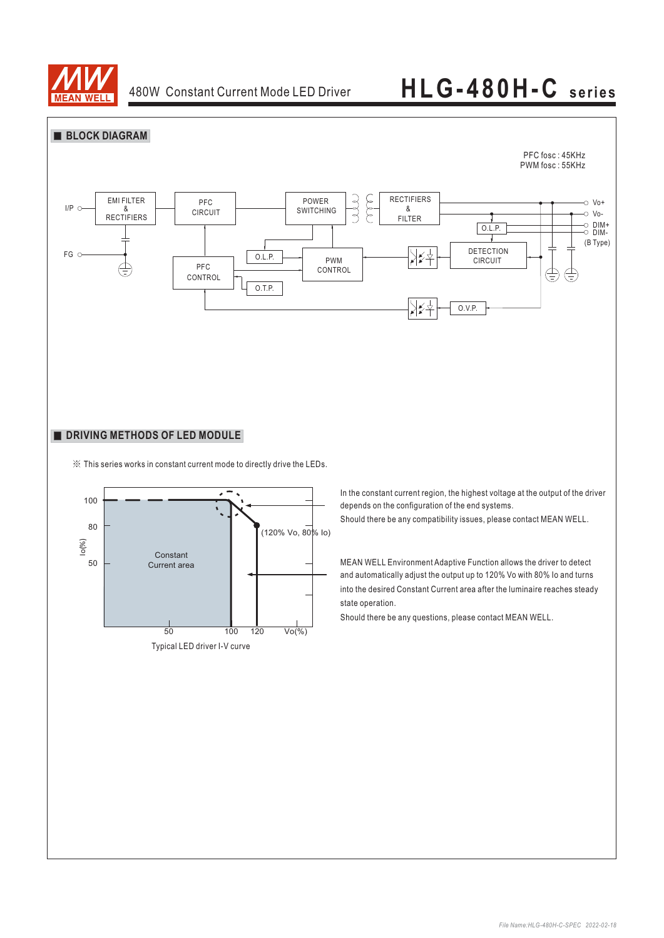![](_page_2_Picture_0.jpeg)

![](_page_2_Figure_3.jpeg)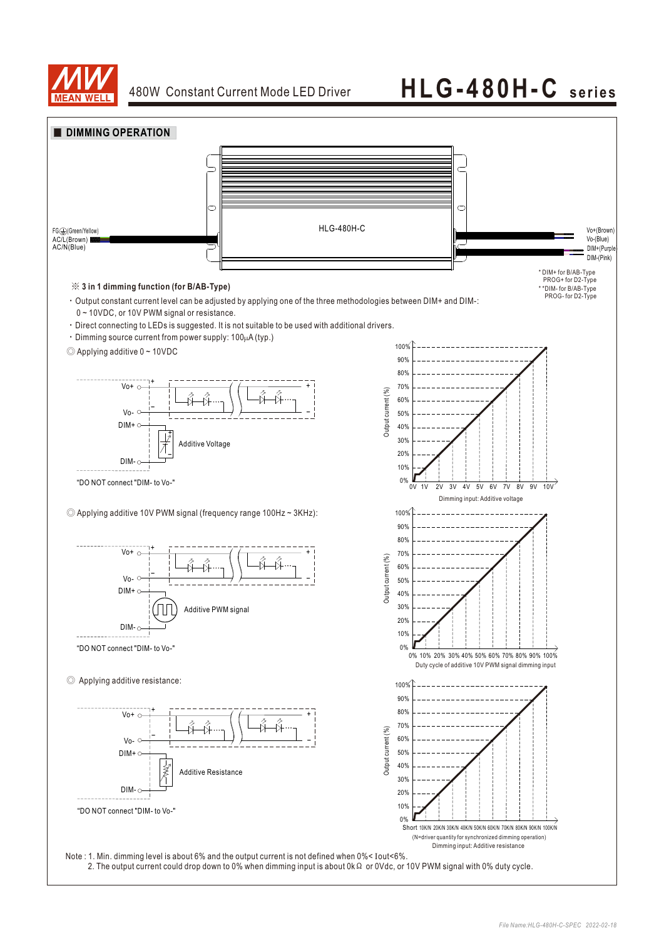![](_page_3_Picture_0.jpeg)

![](_page_3_Figure_3.jpeg)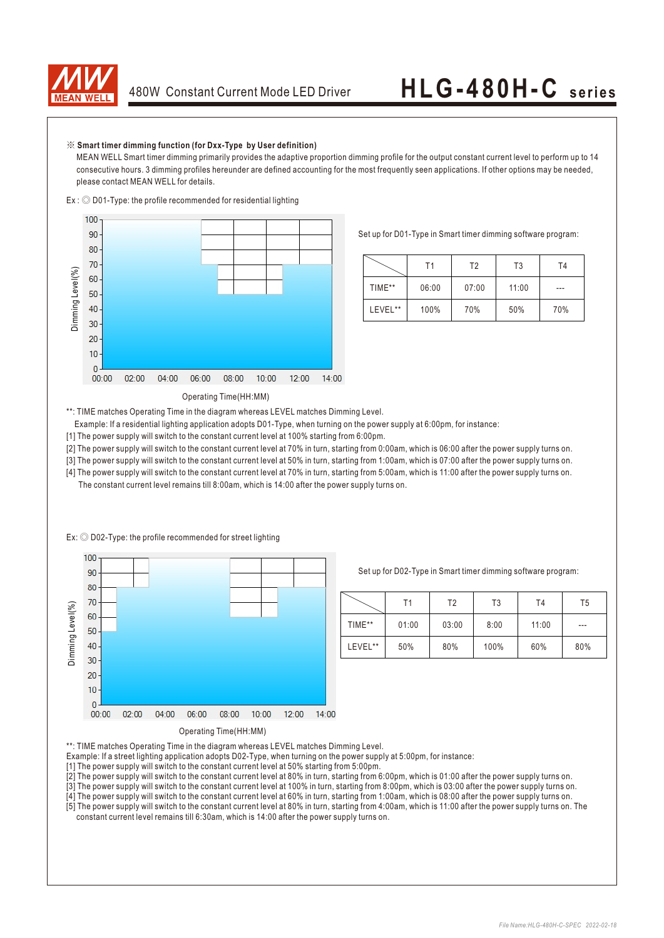![](_page_4_Picture_0.jpeg)

#### ※ **Smart timer dimming function (for Dxx-Type by User definition)**

 $Ex:  $\bigcirc$  D01-Type: the profile recommended for residential lighting$ 

 MEAN WELL Smart timer dimming primarily provides the adaptive proportion dimming profile for the output constant current level to perform up to 14 consecutive hours. 3 dimming profiles hereunder are defined accounting for the most frequently seen applications. If other options may be needed, please contact MEAN WELL for details.

![](_page_4_Figure_5.jpeg)

Set up for D01-Type in Smart timer dimming software program:

|         | Τ1    | T2    | T3    | T4  |
|---------|-------|-------|-------|-----|
| TIME**  | 06:00 | 07:00 | 11:00 | --- |
| LEVEL** | 100%  | 70%   | 50%   | 70% |

#### Operating Time(HH:MM)

\*\*: TIME matches Operating Time in the diagram whereas LEVEL matches Dimming Level.

- Example: If a residential lighting application adopts D01-Type, when turning on the power supply at 6:00pm, for instance:
- [1] The power supply will switch to the constant current level at 100% starting from 6:00pm.
- [2] The power supply will switch to the constant current level at 70% in turn, starting from 0:00am, which is 06:00 after the power supply turns on.
- [3] The power supply will switch to the constant current level at 50% in turn, starting from 1:00am, which is 07:00 after the power supply turns on.
- [4] The power supply will switch to the constant current level at 70% in turn, starting from 5:00am, which is 11:00 after the power supply turns on. The constant current level remains till 8:00am, which is 14:00 after the power supply turns on.

![](_page_4_Figure_15.jpeg)

Ex: ◎ D02-Type: the profile recommended for street lighting

Set up for D02-Type in Smart timer dimming software program:

|         | Τ1    | T2    | T3   | T4    | T5      |
|---------|-------|-------|------|-------|---------|
| TIME**  | 01:00 | 03:00 | 8:00 | 11:00 | $- - -$ |
| LEVEL** | 50%   | 80%   | 100% | 60%   | 80%     |

\*\*: TIME matches Operating Time in the diagram whereas LEVEL matches Dimming Level.

Example: If a street lighting application adopts D02-Type, when turning on the power supply at 5:00pm, for instance:

[1] The power supply will switch to the constant current level at 50% starting from 5:00pm.

[2] The power supply will switch to the constant current level at 80% in turn, starting from 6:00pm, which is 01:00 after the power supply turns on.

[3] The power supply will switch to the constant current level at 100% in turn, starting from 8:00pm, which is 03:00 after the power supply turns on.

[4] The power supply will switch to the constant current level at 60% in turn, starting from 1:00am, which is 08:00 after the power supply turns on.

[5] The power supply will switch to the constant current level at 80% in turn, starting from 4:00am, which is 11:00 after the power supply turns on. The constant current level remains till 6:30am, which is 14:00 after the power supply turns on.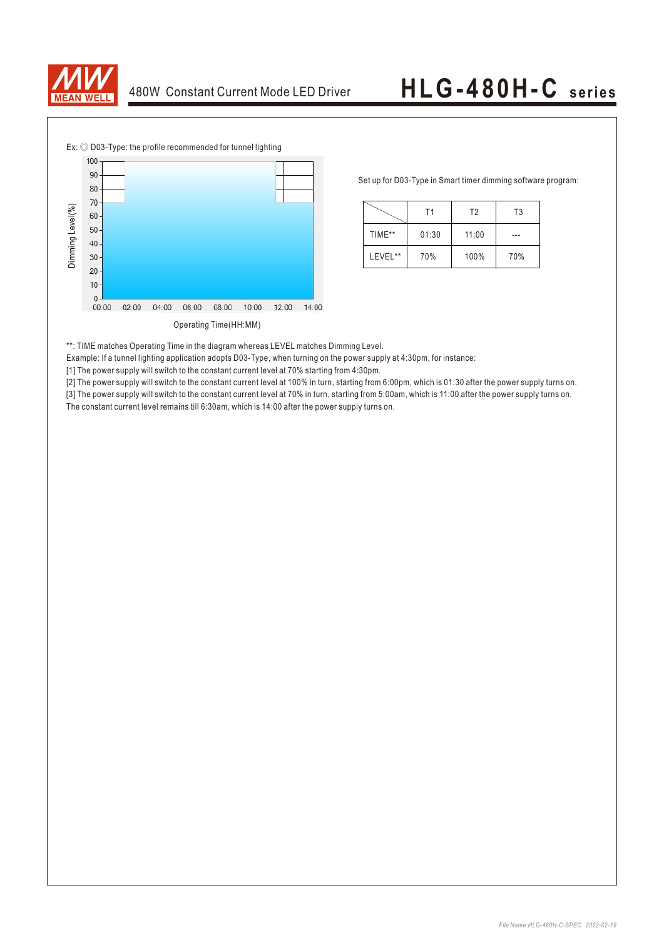![](_page_5_Picture_0.jpeg)

![](_page_5_Figure_3.jpeg)

Ex: ◎ D03-Type: the profile recommended for tunnel lighting

Set up for D03-Type in Smart timer dimming software program:

|         | Τ1    | T <sub>2</sub> | T <sub>3</sub> |
|---------|-------|----------------|----------------|
| TIME**  | 01:30 | 11:00          |                |
| LEVEL** | 70%   | 100%           | 70%            |

\*\*: TIME matches Operating Time in the diagram whereas LEVEL matches Dimming Level.

Example: If a tunnel lighting application adopts D03-Type, when turning on the power supply at 4:30pm, for instance:

[1] The power supply will switch to the constant current level at 70% starting from 4:30pm.

[2] The power supply will switch to the constant current level at 100% in turn, starting from 6:00pm, which is 01:30 after the power supply turns on. [3] The power supply will switch to the constant current level at 70% in turn, starting from 5:00am, which is 11:00 after the power supply turns on.

The constant current level remains till 6:30am, which is 14:00 after the power supply turns on.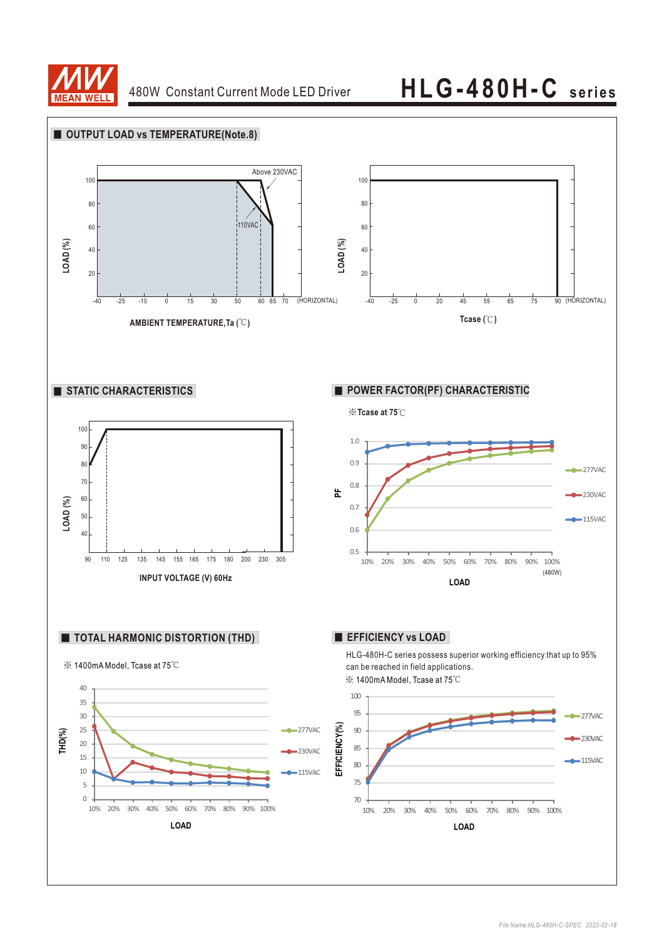![](_page_6_Picture_0.jpeg)

![](_page_6_Figure_3.jpeg)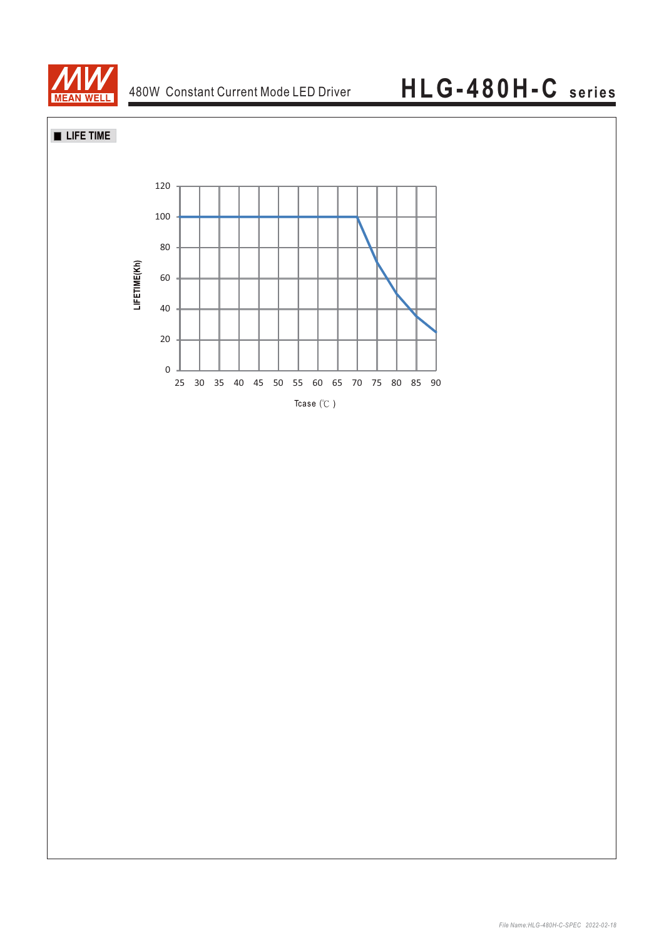![](_page_7_Picture_0.jpeg)

### **LIFE TIME**

![](_page_7_Figure_4.jpeg)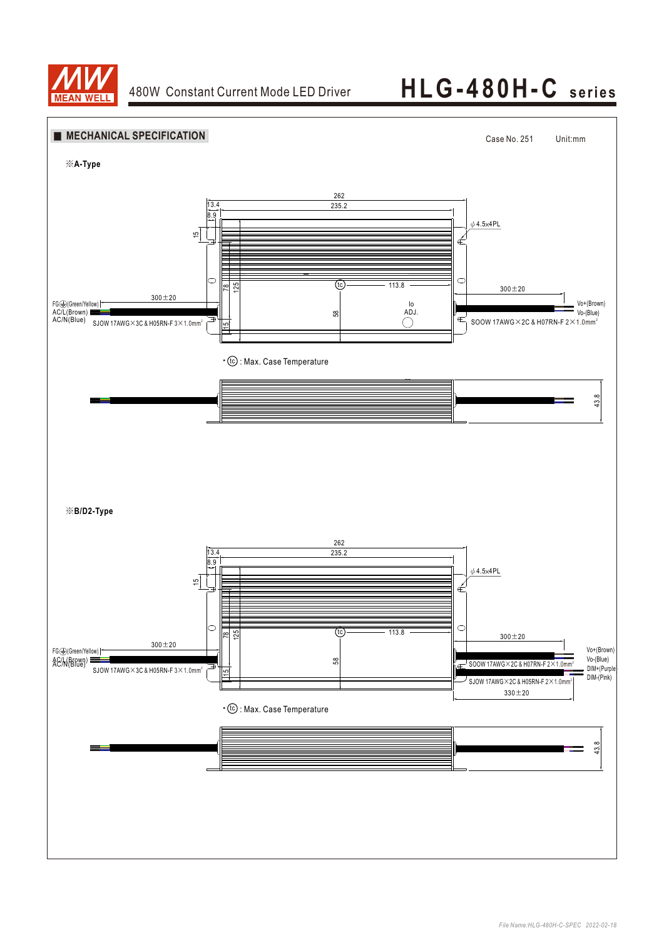![](_page_8_Picture_0.jpeg)

# 480W Constant Current Mode LED Driver **HLG-480H-C** series

![](_page_8_Figure_3.jpeg)